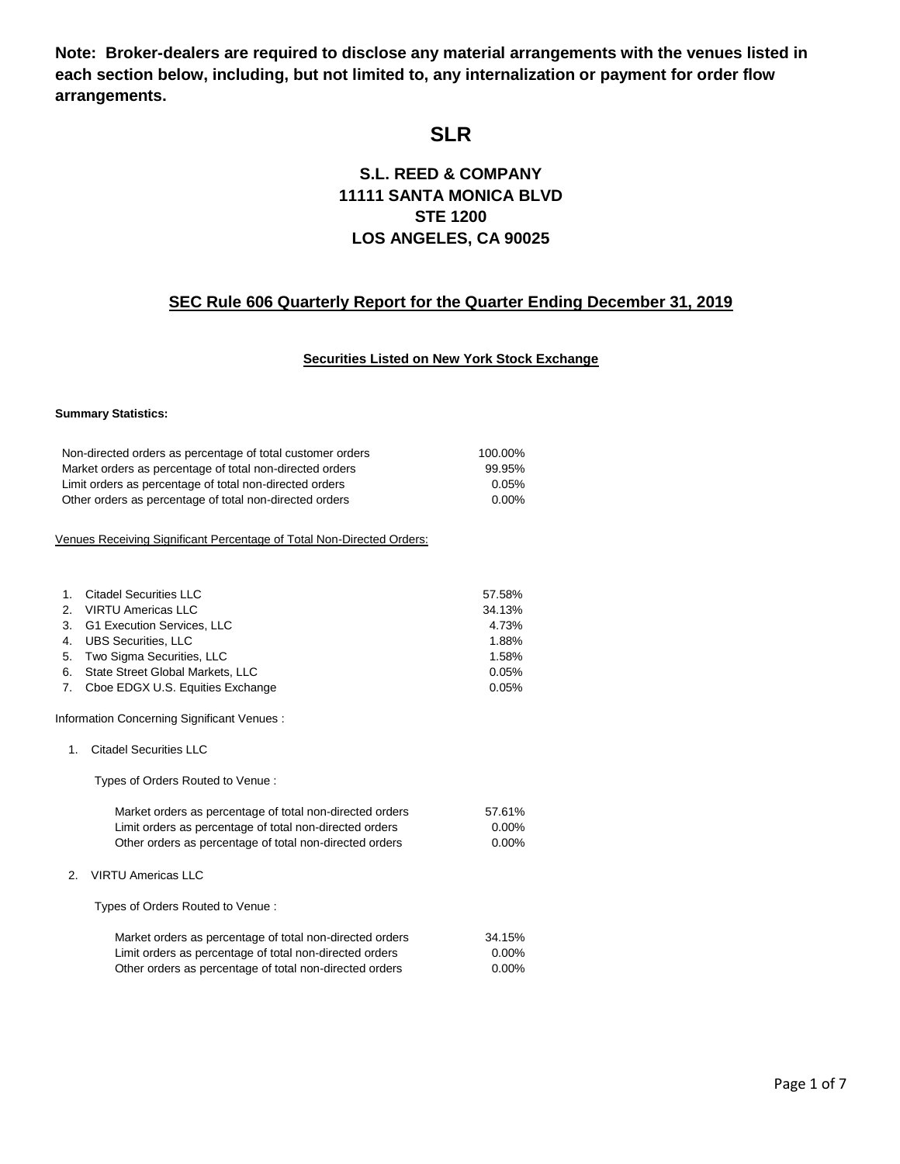**Note: Broker-dealers are required to disclose any material arrangements with the venues listed in each section below, including, but not limited to, any internalization or payment for order flow arrangements.**

# **SLR**

## **S.L. REED & COMPANY 11111 SANTA MONICA BLVD STE 1200 LOS ANGELES, CA 90025**

## **SEC Rule 606 Quarterly Report for the Quarter Ending December 31, 2019**

### **Securities Listed on New York Stock Exchange**

#### **Summary Statistics:**

| Non-directed orders as percentage of total customer orders            | 100.00%  |
|-----------------------------------------------------------------------|----------|
| Market orders as percentage of total non-directed orders              | 99.95%   |
| Limit orders as percentage of total non-directed orders               | 0.05%    |
| Other orders as percentage of total non-directed orders               | $0.00\%$ |
| Venues Receiving Significant Percentage of Total Non-Directed Orders: |          |
|                                                                       |          |

| $1_{-}$ | <b>Citadel Securities LLC</b>       | 57.58%   |
|---------|-------------------------------------|----------|
|         | 2. VIRTU Americas LLC               | 34.13%   |
|         | 3. G1 Execution Services, LLC       | 4.73%    |
|         | 4. UBS Securities. LLC              | 1.88%    |
|         | 5. Two Sigma Securities, LLC        | 1.58%    |
| 6.      | State Street Global Markets, LLC    | 0.05%    |
|         | 7. Cboe EDGX U.S. Equities Exchange | $0.05\%$ |

Information Concerning Significant Venues :

#### 1. Citadel Securities LLC

Types of Orders Routed to Venue :

| Market orders as percentage of total non-directed orders | 57.61%   |
|----------------------------------------------------------|----------|
| Limit orders as percentage of total non-directed orders  | $0.00\%$ |
| Other orders as percentage of total non-directed orders  | $0.00\%$ |

2. VIRTU Americas LLC

Types of Orders Routed to Venue :

| Market orders as percentage of total non-directed orders | 34.15%   |
|----------------------------------------------------------|----------|
| Limit orders as percentage of total non-directed orders  | $0.00\%$ |
| Other orders as percentage of total non-directed orders  | 0.00%    |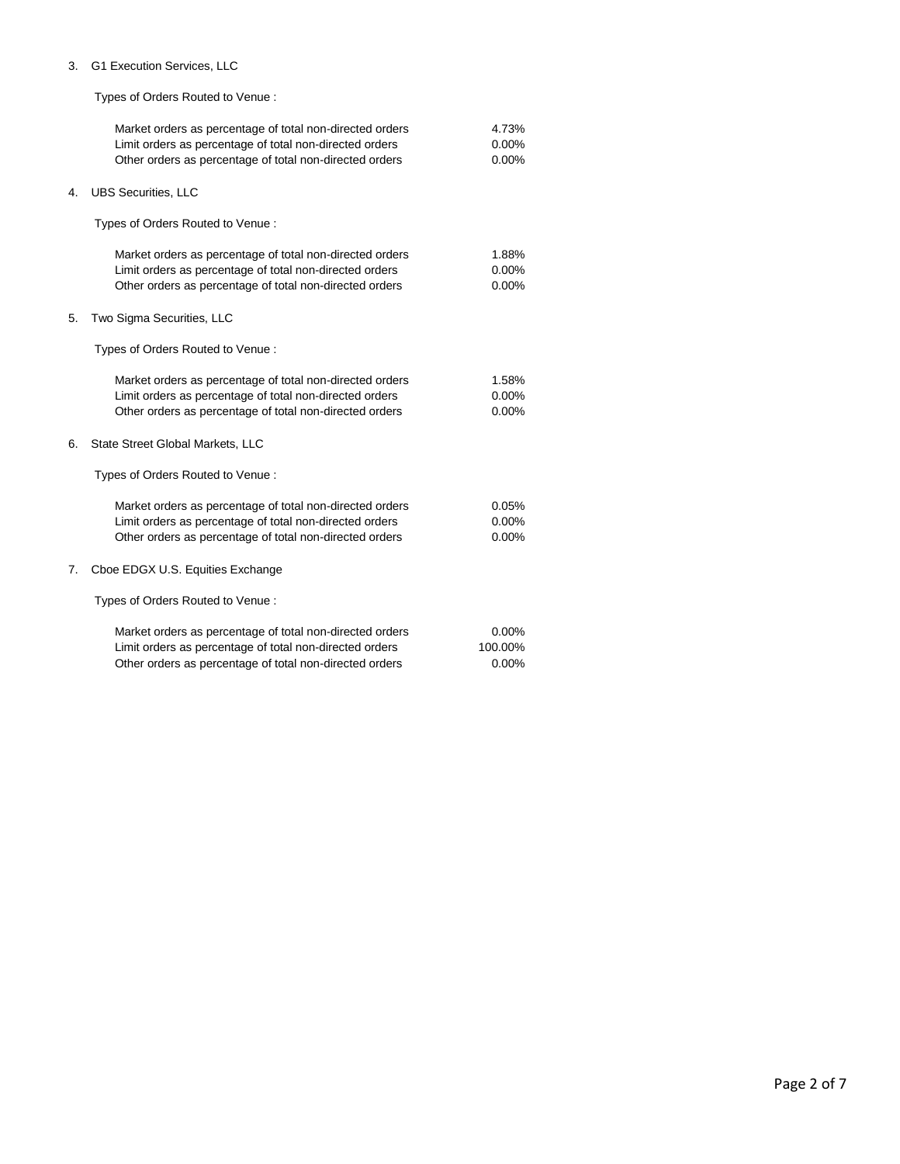#### 3. G1 Execution Services, LLC

Types of Orders Routed to Venue :

|    | Market orders as percentage of total non-directed orders<br>Limit orders as percentage of total non-directed orders<br>Other orders as percentage of total non-directed orders | 4.73%<br>0.00%<br>$0.00\%$ |
|----|--------------------------------------------------------------------------------------------------------------------------------------------------------------------------------|----------------------------|
| 4. | <b>UBS Securities, LLC</b>                                                                                                                                                     |                            |
|    | Types of Orders Routed to Venue:                                                                                                                                               |                            |
|    | Market orders as percentage of total non-directed orders<br>Limit orders as percentage of total non-directed orders<br>Other orders as percentage of total non-directed orders | 1.88%<br>0.00%<br>0.00%    |
| 5. | Two Sigma Securities, LLC                                                                                                                                                      |                            |
|    | Types of Orders Routed to Venue:                                                                                                                                               |                            |
|    | Market orders as percentage of total non-directed orders<br>Limit orders as percentage of total non-directed orders<br>Other orders as percentage of total non-directed orders | 1.58%<br>0.00%<br>0.00%    |
| 6. | State Street Global Markets, LLC                                                                                                                                               |                            |
|    | Types of Orders Routed to Venue:                                                                                                                                               |                            |
|    | Market orders as percentage of total non-directed orders<br>Limit orders as percentage of total non-directed orders<br>Other orders as percentage of total non-directed orders | 0.05%<br>0.00%<br>$0.00\%$ |
| 7. | Cboe EDGX U.S. Equities Exchange                                                                                                                                               |                            |
|    | Types of Orders Routed to Venue:                                                                                                                                               |                            |
|    | Market orders as percentage of total non-directed orders<br>Limit orders as percentage of total non-directed orders<br>Other orders as percentage of total non-directed orders | 0.00%<br>100.00%<br>0.00%  |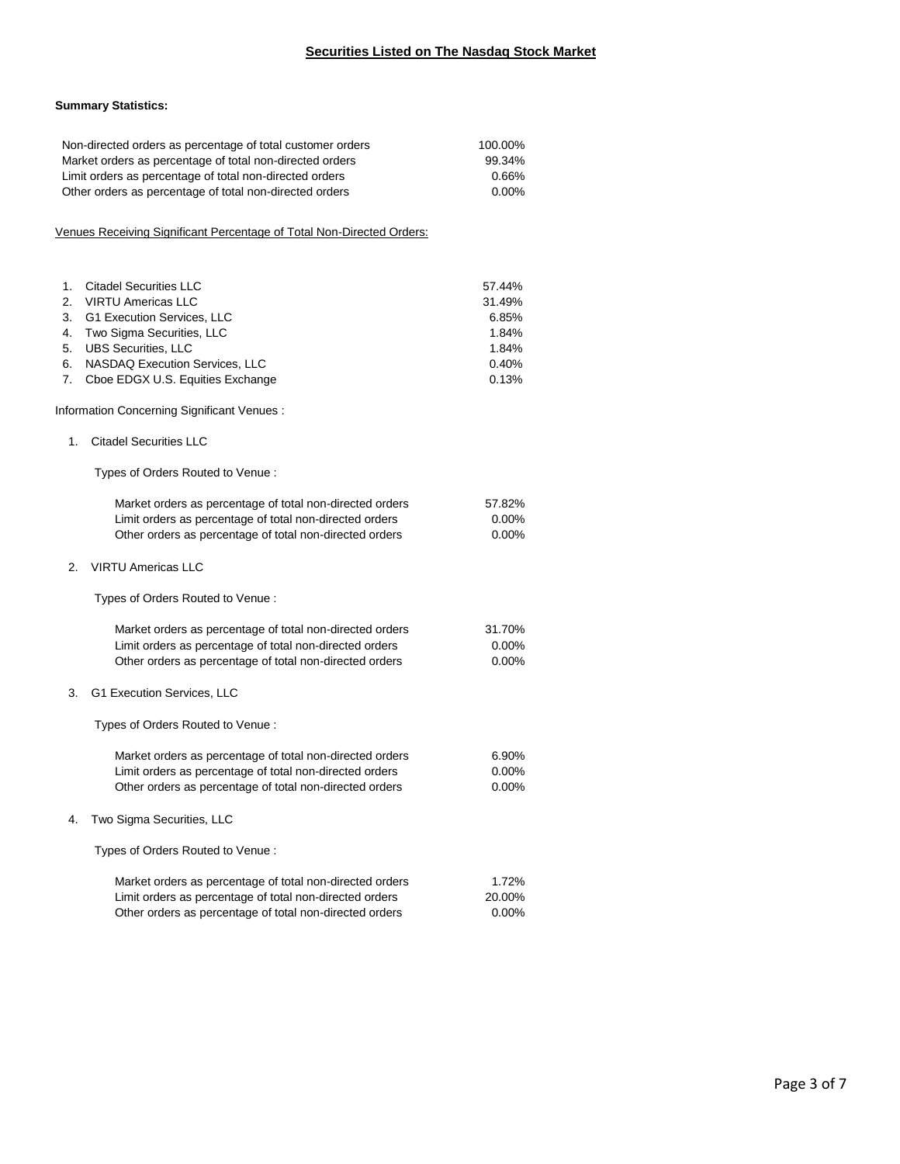### **Securities Listed on The Nasdaq Stock Market**

#### **Summary Statistics:**

|                      | Non-directed orders as percentage of total customer orders<br>Market orders as percentage of total non-directed orders<br>Limit orders as percentage of total non-directed orders<br>Other orders as percentage of total non-directed orders | 100.00%<br>99.34%<br>0.66%<br>0.00% |
|----------------------|----------------------------------------------------------------------------------------------------------------------------------------------------------------------------------------------------------------------------------------------|-------------------------------------|
|                      | Venues Receiving Significant Percentage of Total Non-Directed Orders:                                                                                                                                                                        |                                     |
| 1.<br>2.             | <b>Citadel Securities LLC</b><br><b>VIRTU Americas LLC</b>                                                                                                                                                                                   | 57.44%<br>31.49%                    |
| 3.<br>4.<br>5.<br>6. | G1 Execution Services, LLC<br>Two Sigma Securities, LLC<br><b>UBS Securities, LLC</b><br>NASDAQ Execution Services, LLC                                                                                                                      | 6.85%<br>1.84%<br>1.84%<br>0.40%    |
| 7.                   | Cboe EDGX U.S. Equities Exchange<br>Information Concerning Significant Venues:                                                                                                                                                               | 0.13%                               |
| 1.                   | <b>Citadel Securities LLC</b>                                                                                                                                                                                                                |                                     |
|                      | Types of Orders Routed to Venue:                                                                                                                                                                                                             |                                     |
|                      | Market orders as percentage of total non-directed orders<br>Limit orders as percentage of total non-directed orders<br>Other orders as percentage of total non-directed orders                                                               | 57.82%<br>$0.00\%$<br>0.00%         |
| 2.                   | <b>VIRTU Americas LLC</b>                                                                                                                                                                                                                    |                                     |
|                      | Types of Orders Routed to Venue:                                                                                                                                                                                                             |                                     |
|                      | Market orders as percentage of total non-directed orders<br>Limit orders as percentage of total non-directed orders<br>Other orders as percentage of total non-directed orders                                                               | 31.70%<br>$0.00\%$<br>$0.00\%$      |
| 3.                   | G1 Execution Services, LLC                                                                                                                                                                                                                   |                                     |
|                      | Types of Orders Routed to Venue:                                                                                                                                                                                                             |                                     |
|                      | Market orders as percentage of total non-directed orders<br>Limit orders as percentage of total non-directed orders<br>Other orders as percentage of total non-directed orders                                                               | 6.90%<br>$0.00\%$<br>$0.00\%$       |
| 4.                   | Two Sigma Securities, LLC                                                                                                                                                                                                                    |                                     |
|                      | Types of Orders Routed to Venue:                                                                                                                                                                                                             |                                     |
|                      | Market orders as percentage of total non-directed orders<br>Limit orders as percentage of total non-directed orders<br>Other orders as percentage of total non-directed orders                                                               | 1.72%<br>20.00%<br>0.00%            |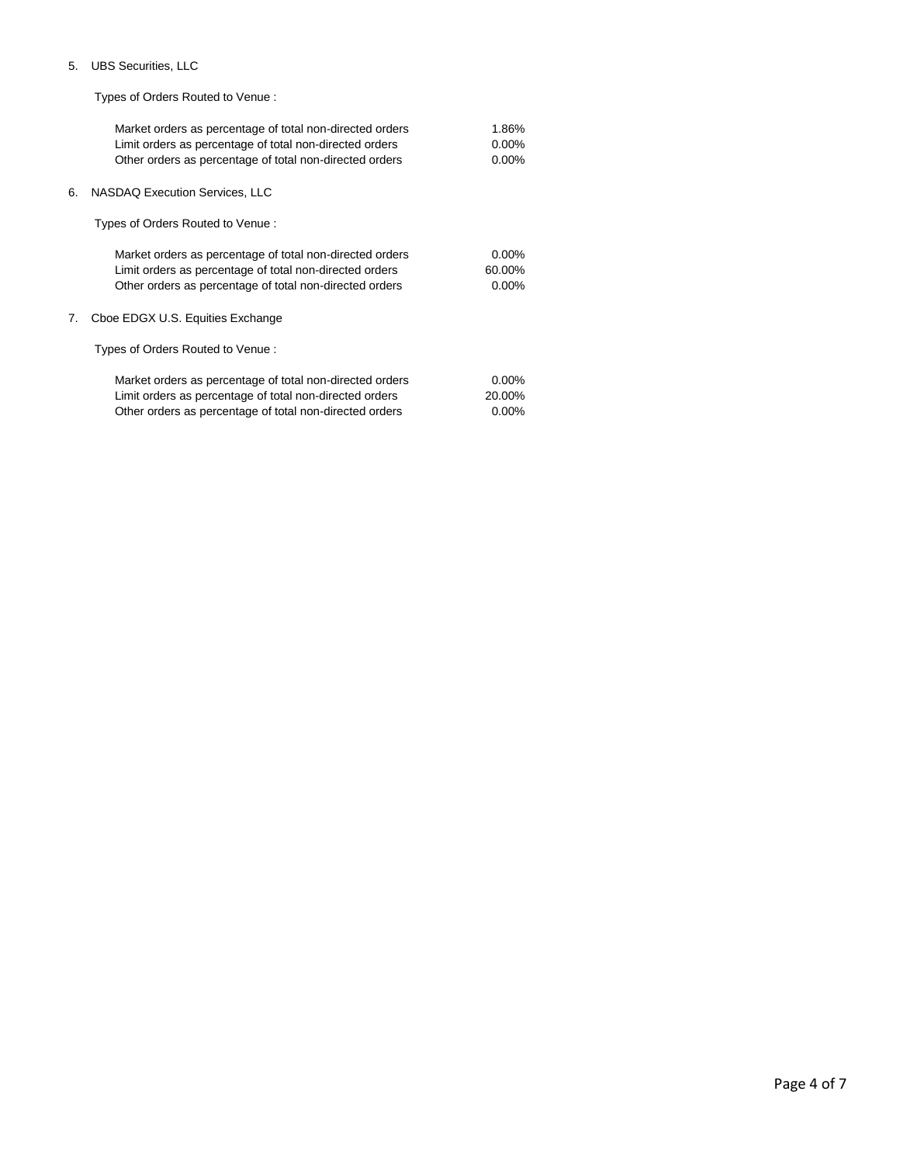#### 5. UBS Securities, LLC

Types of Orders Routed to Venue :

| Market orders as percentage of total non-directed orders | 1.86%    |
|----------------------------------------------------------|----------|
| Limit orders as percentage of total non-directed orders  | $0.00\%$ |
| Other orders as percentage of total non-directed orders  | $0.00\%$ |
| NASDAQ Execution Services, LLC<br>6.                     |          |
| Types of Orders Routed to Venue:                         |          |
| Market orders as percentage of total non-directed orders | $0.00\%$ |
| Limit orders as percentage of total non-directed orders  | 60.00%   |
| Other orders as percentage of total non-directed orders  | $0.00\%$ |
| Cboe EDGX U.S. Equities Exchange<br>7.                   |          |
| Types of Orders Routed to Venue:                         |          |
| Market orders as percentage of total non-directed orders | $0.00\%$ |
| Limit orders as percentage of total non-directed orders  | 20.00%   |
| Other orders as percentage of total non-directed orders  | $0.00\%$ |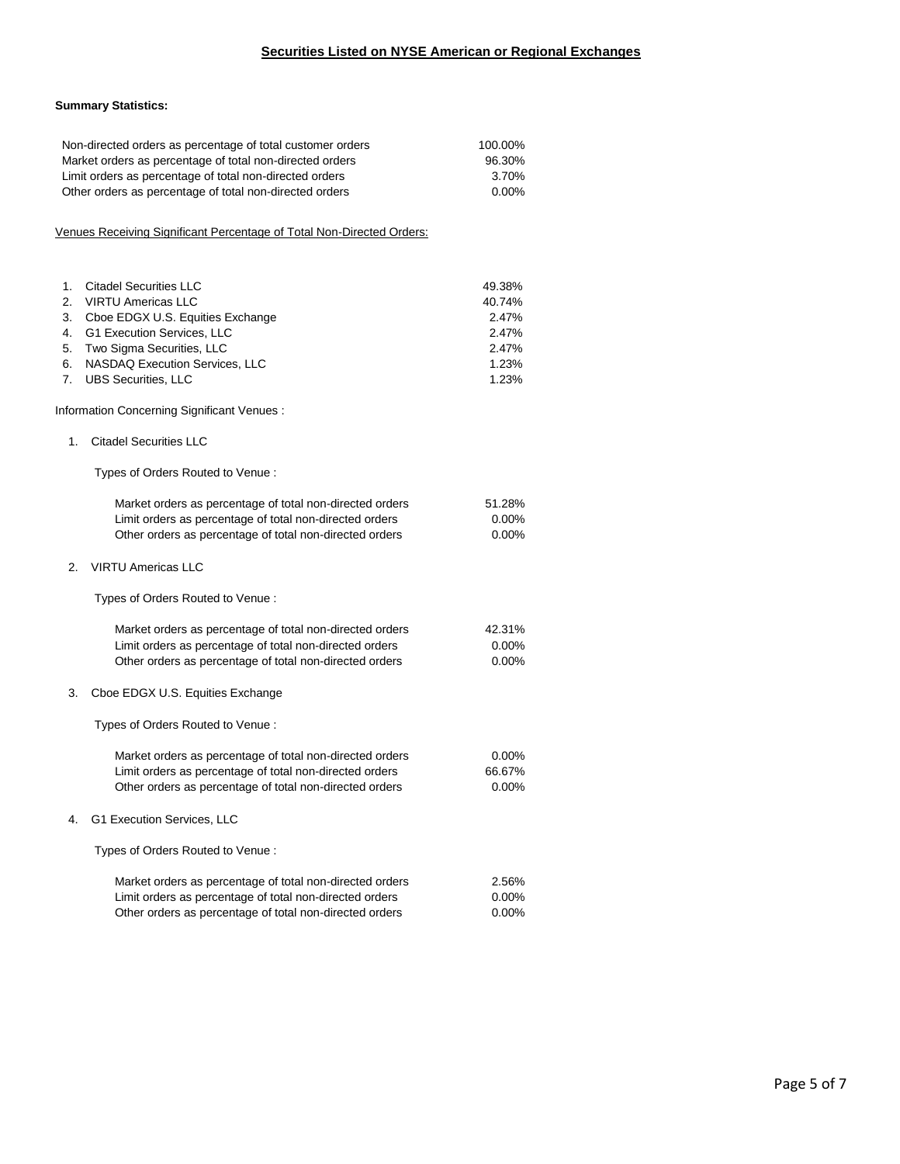#### **Summary Statistics:**

|                                        | Non-directed orders as percentage of total customer orders<br>Market orders as percentage of total non-directed orders<br>Limit orders as percentage of total non-directed orders<br>Other orders as percentage of total non-directed orders | 100.00%<br>96.30%<br>3.70%<br>0.00%                           |  |
|----------------------------------------|----------------------------------------------------------------------------------------------------------------------------------------------------------------------------------------------------------------------------------------------|---------------------------------------------------------------|--|
|                                        | Venues Receiving Significant Percentage of Total Non-Directed Orders:                                                                                                                                                                        |                                                               |  |
| 1.<br>2.<br>3.<br>4.<br>5.<br>6.<br>7. | <b>Citadel Securities LLC</b><br><b>VIRTU Americas LLC</b><br>Cboe EDGX U.S. Equities Exchange<br>G1 Execution Services, LLC<br>Two Sigma Securities, LLC<br>NASDAQ Execution Services, LLC<br><b>UBS Securities, LLC</b>                    | 49.38%<br>40.74%<br>2.47%<br>2.47%<br>2.47%<br>1.23%<br>1.23% |  |
|                                        | Information Concerning Significant Venues:                                                                                                                                                                                                   |                                                               |  |
| 1.                                     | <b>Citadel Securities LLC</b>                                                                                                                                                                                                                |                                                               |  |
|                                        | Types of Orders Routed to Venue:                                                                                                                                                                                                             |                                                               |  |
|                                        | Market orders as percentage of total non-directed orders<br>Limit orders as percentage of total non-directed orders<br>Other orders as percentage of total non-directed orders                                                               | 51.28%<br>$0.00\%$<br>0.00%                                   |  |
| 2.                                     | <b>VIRTU Americas LLC</b>                                                                                                                                                                                                                    |                                                               |  |
|                                        | Types of Orders Routed to Venue:                                                                                                                                                                                                             |                                                               |  |
|                                        | Market orders as percentage of total non-directed orders<br>Limit orders as percentage of total non-directed orders<br>Other orders as percentage of total non-directed orders                                                               | 42.31%<br>0.00%<br>0.00%                                      |  |
| 3.                                     | Cboe EDGX U.S. Equities Exchange                                                                                                                                                                                                             |                                                               |  |
|                                        | Types of Orders Routed to Venue:                                                                                                                                                                                                             |                                                               |  |
|                                        | Market orders as percentage of total non-directed orders<br>Limit orders as percentage of total non-directed orders<br>Other orders as percentage of total non-directed orders                                                               | 0.00%<br>66.67%<br>$0.00\%$                                   |  |
| 4.                                     | G1 Execution Services, LLC                                                                                                                                                                                                                   |                                                               |  |
|                                        | Types of Orders Routed to Venue:                                                                                                                                                                                                             |                                                               |  |
|                                        | Market orders as percentage of total non-directed orders<br>Limit orders as percentage of total non-directed orders<br>Other orders as percentage of total non-directed orders                                                               | 2.56%<br>0.00%<br>0.00%                                       |  |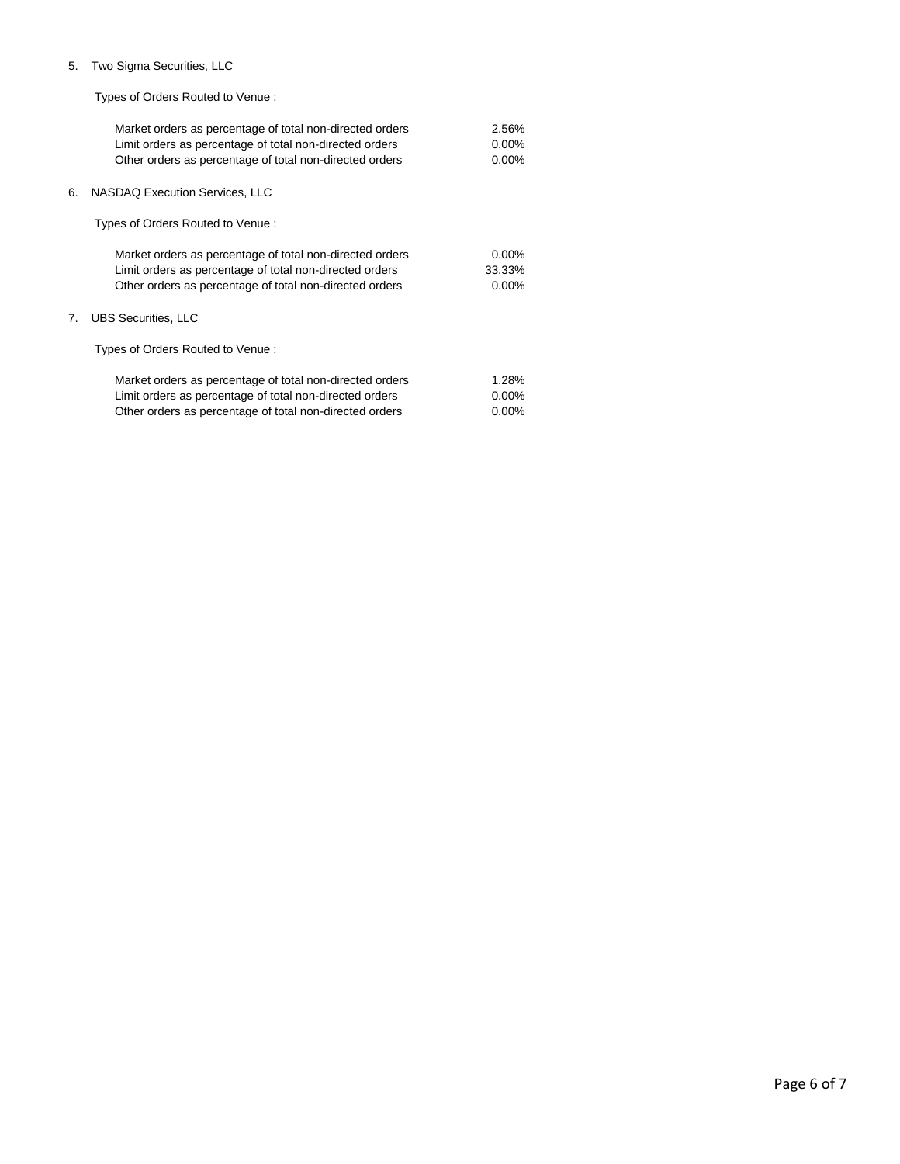#### 5. Two Sigma Securities, LLC

Types of Orders Routed to Venue :

| Market orders as percentage of total non-directed orders | 2.56%    |
|----------------------------------------------------------|----------|
| Limit orders as percentage of total non-directed orders  | $0.00\%$ |
| Other orders as percentage of total non-directed orders  | $0.00\%$ |
| 6.<br>NASDAQ Execution Services, LLC                     |          |
| Types of Orders Routed to Venue:                         |          |
| Market orders as percentage of total non-directed orders | $0.00\%$ |
| Limit orders as percentage of total non-directed orders  | 33.33%   |
| Other orders as percentage of total non-directed orders  | $0.00\%$ |
| <b>UBS Securities, LLC</b><br>7.                         |          |
| Types of Orders Routed to Venue:                         |          |
| Market orders as percentage of total non-directed orders | 1.28%    |
| Limit orders as percentage of total non-directed orders  | $0.00\%$ |

Other orders as percentage of total non-directed orders 0.00%